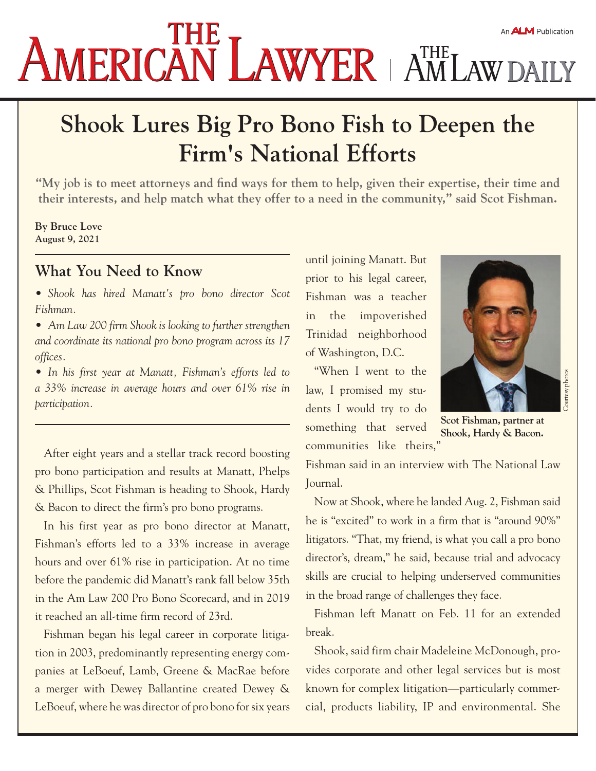## AMERICAN LAWYER | AMLAWDAILY An **ALM** Publication

## **Shook Lures Big Pro Bono Fish to Deepen the Firm's National Efforts**

**"My job is to meet attorneys and find ways for them to help, given their expertise, their time and their interests, and help match what they offer to a need in the community," said Scot Fishman.**

## **By Bruce Love August 9, 2021**

## **What You Need to Know**

- *Shook has hired Manatt's pro bono director Scot Fishman.*
- *Am Law 200 firm Shook is looking to further strengthen and coordinate its national pro bono program across its 17 offices.*
- *In his first year at Manatt, Fishman's efforts led to a 33% increase in average hours and over 61% rise in participation.*

After eight years and a stellar track record boosting pro bono participation and results at Manatt, Phelps & Phillips, Scot Fishman is heading to Shook, Hardy & Bacon to direct the firm's pro bono programs.

In his first year as pro bono director at Manatt, Fishman's efforts led to a 33% increase in average hours and over 61% rise in participation. At no time before the pandemic did Manatt's rank fall below 35th in the Am Law 200 Pro Bono Scorecard, and in 2019 it reached an all-time firm record of 23rd.

Fishman began his legal career in corporate litigation in 2003, predominantly representing energy companies at LeBoeuf, Lamb, Greene & MacRae before a merger with Dewey Ballantine created Dewey & LeBoeuf, where he was director of pro bono for six years until joining Manatt. But prior to his legal career, Fishman was a teacher in the impoverished Trinidad neighborhood of Washington, D.C.

"When I went to the law, I promised my students I would try to do something that served communities like theirs,"



**Scot Fishman, partner at Shook, Hardy & Bacon.** 

Fishman said in an interview with The National Law Journal.

Now at Shook, where he landed Aug. 2, Fishman said he is "excited" to work in a firm that is "around 90%" litigators. "That, my friend, is what you call a pro bono director's, dream," he said, because trial and advocacy skills are crucial to helping underserved communities in the broad range of challenges they face.

Fishman left Manatt on Feb. 11 for an extended break.

Shook, said firm chair Madeleine McDonough, provides corporate and other legal services but is most known for complex litigation—particularly commercial, products liability, IP and environmental. She